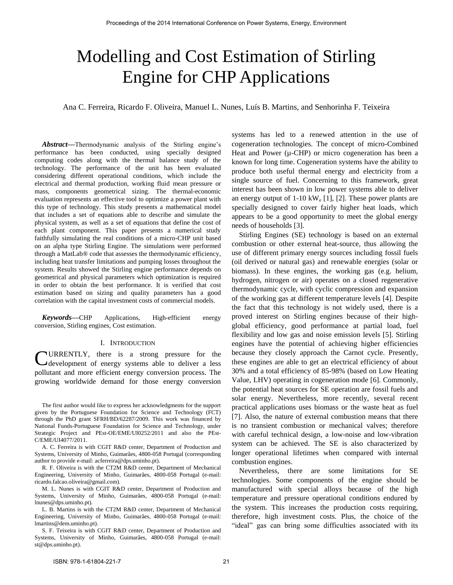# Modelling and Cost Estimation of Stirling Engine for CHP Applications

Ana C. Ferreira, Ricardo F. Oliveira, Manuel L. Nunes, Luís B. Martins, and Senhorinha F. Teixeira

*Abstract***—**Thermodynamic analysis of the Stirling engine's performance has been conducted, using specially designed computing codes along with the thermal balance study of the technology. The performance of the unit has been evaluated considering different operational conditions, which include the electrical and thermal production, working fluid mean pressure or mass, components geometrical sizing. The thermal-economic evaluation represents an effective tool to optimize a power plant with this type of technology. This study presents a mathematical model that includes a set of equations able to describe and simulate the physical system, as well as a set of equations that define the cost of each plant component. This paper presents a numerical study faithfully simulating the real conditions of a micro-CHP unit based on an alpha type Stirling Engine. The simulations were performed through a MatLab® code that assesses the thermodynamic efficiency, including heat transfer limitations and pumping losses throughout the system. Results showed the Stirling engine performance depends on geometrical and physical parameters which optimization is required in order to obtain the best performance. It is verified that cost estimation based on sizing and quality parameters has a good correlation with the capital investment costs of commercial models.

*Keywords***—**CHP Applications, High-efficient energy conversion, Stirling engines, Cost estimation.

#### I. INTRODUCTION

URRENTLY, there is a strong pressure for the C development of energy systems able to deliver a less pollutant and more efficient energy conversion process. The growing worldwide demand for those energy conversion

The first author would like to express her acknowledgments for the support given by the Portuguese Foundation for Science and Technology (FCT) through the PhD grant SFRH/BD/62287/2009. This work was financed by National Funds-Portuguese Foundation for Science and Technology, under Strategic Project and PEst-OE/EME/UI0252/2011 and also the PEst-C/EME/UI4077/2011.

A. C. Ferreira is with CGIT R&D center, Department of Production and Systems, University of Minho, Guimarães, 4800-058 Portugal (corresponding author to provide e-mail: acferreira@dps.uminho.pt).

R. F. Oliveira is with the CT2M R&D center, Department of Mechanical Engineering, University of Minho, Guimarães, 4800-058 Portugal (e-mail: ricardo.falcao.oliveira@gmail.com).

M. L. Nunes is with CGIT R&D center, Department of Production and Systems, University of Minho, Guimarães, 4800-058 Portugal (e-mail: lnunes@dps.uminho.pt).

L. B. Martins is with the CT2M R&D center, Department of Mechanical Engineering, University of Minho, Guimarães, 4800-058 Portugal (e-mail: lmartins@dem.uminho.pt).

S. F. Teixeira is with CGIT R&D center, Department of Production and Systems, University of Minho, Guimarães, 4800-058 Portugal (e-mail: st@dps.uminho.pt).

systems has led to a renewed attention in the use of cogeneration technologies. The concept of micro-Combined Heat and Power ( $\mu$ -CHP) or micro cogeneration has been a known for long time. Cogeneration systems have the ability to produce both useful thermal energy and electricity from a single source of fuel. Concerning to this framework, great interest has been shown in low power systems able to deliver an energy output of  $1-10 \text{ kW}_e$  [1], [2]. These power plants are specially designed to cover fairly higher heat loads, which appears to be a good opportunity to meet the global energy needs of households [3].

Stirling Engines (SE) technology is based on an external combustion or other external heat-source, thus allowing the use of different primary energy sources including fossil fuels (oil derived or natural gas) and renewable energies (solar or biomass). In these engines, the working gas (e.g. helium, hydrogen, nitrogen or air) operates on a closed regenerative thermodynamic cycle, with cyclic compression and expansion of the working gas at different temperature levels [4]. Despite the fact that this technology is not widely used, there is a proved interest on Stirling engines because of their highglobal efficiency, good performance at partial load, fuel flexibility and low gas and noise emission levels [5]. Stirling engines have the potential of achieving higher efficiencies because they closely approach the Carnot cycle. Presently, these engines are able to get an electrical efficiency of about 30% and a total efficiency of 85-98% (based on Low Heating Value, LHV) operating in cogeneration mode [6]. Commonly, the potential heat sources for SE operation are fossil fuels and solar energy. Nevertheless, more recently, several recent practical applications uses biomass or the waste heat as fuel [7]. Also, the nature of external combustion means that there is no transient combustion or mechanical valves; therefore with careful technical design, a low-noise and low-vibration system can be achieved. The SE is also characterized by longer operational lifetimes when compared with internal combustion engines.

Nevertheless, there are some limitations for SE technologies. Some components of the engine should be manufactured with special alloys because of the high temperature and pressure operational conditions endured by the system. This increases the production costs requiring, therefore, high investment costs. Plus, the choice of the "ideal" gas can bring some difficulties associated with its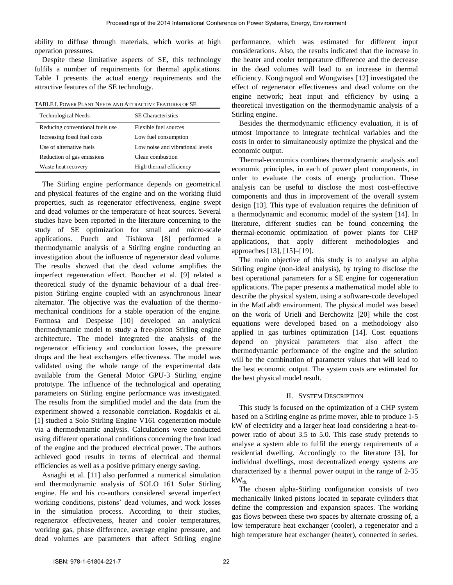ability to diffuse through materials, which works at high operation pressures.

Despite these limitative aspects of SE, this technology fulfils a number of requirements for thermal applications. Table I presents the actual energy requirements and the attractive features of the SE technology.

| TABLE I. POWER PLANT NEEDS AND ATTRACTIVE FEATURES OF SE |  |
|----------------------------------------------------------|--|
|----------------------------------------------------------|--|

| <b>Technological Needs</b>      | <b>SE</b> Characteristics        |
|---------------------------------|----------------------------------|
| Reducing conventional fuels use | Flexible fuel sources            |
| Increasing fossil fuel costs    | Low fuel consumption             |
| Use of alternative fuels        | Low noise and vibrational levels |
| Reduction of gas emissions      | Clean combustion                 |
| Waste heat recovery             | High thermal efficiency          |

The Stirling engine performance depends on geometrical and physical features of the engine and on the working fluid properties, such as regenerator effectiveness, engine swept and dead volumes or the temperature of heat sources. Several studies have been reported in the literature concerning to the study of SE optimization for small and micro-scale applications. Puech and Tishkova [8] performed a thermodynamic analysis of a Stirling engine conducting an investigation about the influence of regenerator dead volume. The results showed that the dead volume amplifies the imperfect regeneration effect. Boucher et al. [9] related a theoretical study of the dynamic behaviour of a dual freepiston Stirling engine coupled with an asynchronous linear alternator. The objective was the evaluation of the thermomechanical conditions for a stable operation of the engine. Formosa and Despesse [10] developed an analytical thermodynamic model to study a free-piston Stirling engine architecture. The model integrated the analysis of the regenerator efficiency and conduction losses, the pressure drops and the heat exchangers effectiveness. The model was validated using the whole range of the experimental data available from the General Motor GPU-3 Stirling engine prototype. The influence of the technological and operating parameters on Stirling engine performance was investigated. The results from the simplified model and the data from the experiment showed a reasonable correlation. Rogdakis et al. [1] studied a Solo Stirling Engine V161 cogeneration module via a thermodynamic analysis. Calculations were conducted using different operational conditions concerning the heat load of the engine and the produced electrical power. The authors achieved good results in terms of electrical and thermal efficiencies as well as a positive primary energy saving.

Asnaghi et al. [11] also performed a numerical simulation and thermodynamic analysis of SOLO 161 Solar Stirling engine. He and his co-authors considered several imperfect working conditions, pistons' dead volumes, and work losses in the simulation process. According to their studies, regenerator effectiveness, heater and cooler temperatures, working gas, phase difference, average engine pressure, and dead volumes are parameters that affect Stirling engine performance, which was estimated for different input considerations. Also, the results indicated that the increase in the heater and cooler temperature difference and the decrease in the dead volumes will lead to an increase in thermal efficiency. Kongtragool and Wongwises [12] investigated the effect of regenerator effectiveness and dead volume on the engine network; heat input and efficiency by using a theoretical investigation on the thermodynamic analysis of a Stirling engine.

Besides the thermodynamic efficiency evaluation, it is of utmost importance to integrate technical variables and the costs in order to simultaneously optimize the physical and the economic output.

Thermal-economics combines thermodynamic analysis and economic principles, in each of power plant components, in order to evaluate the costs of energy production. These analysis can be useful to disclose the most cost-effective components and thus in improvement of the overall system design [13]. This type of evaluation requires the definition of a thermodynamic and economic model of the system [14]. In literature, different studies can be found concerning the thermal-economic optimization of power plants for CHP applications, that apply different methodologies and approaches [13], [15]–[19].

The main objective of this study is to analyse an alpha Stirling engine (non-ideal analysis), by trying to disclose the best operational parameters for a SE engine for cogeneration applications. The paper presents a mathematical model able to describe the physical system, using a software-code developed in the MatLab® environment. The physical model was based on the work of Urieli and Berchowitz [20] while the cost equations were developed based on a methodology also applied in gas turbines optimization [14]. Cost equations depend on physical parameters that also affect the thermodynamic performance of the engine and the solution will be the combination of parameter values that will lead to the best economic output. The system costs are estimated for the best physical model result.

# II. SYSTEM DESCRIPTION

This study is focused on the optimization of a CHP system based on a Stirling engine as prime mover, able to produce 1-5 kW of electricity and a larger heat load considering a heat-topower ratio of about 3.5 to 5.0. This case study pretends to analyse a system able to fulfil the energy requirements of a residential dwelling. Accordingly to the literature [3], for individual dwellings, most decentralized energy systems are characterized by a thermal power output in the range of 2-35  $kW_{th}$ 

The chosen alpha-Stirling configuration consists of two mechanically linked pistons located in separate cylinders that define the compression and expansion spaces. The working gas flows between these two spaces by alternate crossing of, a low temperature heat exchanger (cooler), a regenerator and a high temperature heat exchanger (heater), connected in series.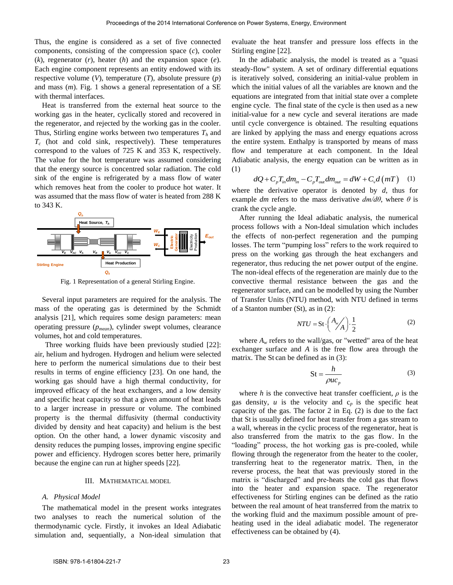Thus, the engine is considered as a set of five connected components, consisting of the compression space (*c*), cooler (*k*), regenerator (*r*), heater (*h*) and the expansion space (*e*). Each engine component represents an entity endowed with its respective volume (*V*), temperature (*T*), absolute pressure (*p*) and mass (*m*). Fig. 1 shows a general representation of a SE with thermal interfaces.

Heat is transferred from the external heat source to the working gas in the heater, cyclically stored and recovered in the regenerator, and rejected by the working gas in the cooler. Thus, Stirling engine works between two temperatures *Th* and  $T_c$  (hot and cold sink, respectively). These temperatures correspond to the values of 725 K and 353 K, respectively. The value for the hot temperature was assumed considering that the energy source is concentred solar radiation. The cold sink of the engine is refrigerated by a mass flow of water which removes heat from the cooler to produce hot water. It was assumed that the mass flow of water is heated from 288 K to 343 K.



Fig. 1 Representation of a general Stirling Engine.

Several input parameters are required for the analysis. The mass of the operating gas is determined by the Schmidt analysis [21], which requires some design parameters: mean operating pressure (*pmean*), cylinder swept volumes, clearance volumes, hot and cold temperatures.

Three working fluids have been previously studied [22]: air, helium and hydrogen. Hydrogen and helium were selected here to perform the numerical simulations due to their best results in terms of engine efficiency [23]. On one hand, the working gas should have a high thermal conductivity, for improved efficacy of the heat exchangers, and a low density and specific heat capacity so that a given amount of heat leads to a larger increase in pressure or volume. The combined property is the thermal diffusivity (thermal conductivity divided by density and heat capacity) and helium is the best option. On the other hand, a lower dynamic viscosity and density reduces the pumping losses, improving engine specific power and efficiency. Hydrogen scores better here, primarily because the engine can run at higher speeds [22].

#### III. MATHEMATICAL MODEL

#### *A. Physical Model*

The mathematical model in the present works integrates two analyses to reach the numerical solution of the thermodynamic cycle. Firstly, it invokes an Ideal Adiabatic simulation and, sequentially, a Non-ideal simulation that evaluate the heat transfer and pressure loss effects in the Stirling engine [22].

In the adiabatic analysis, the model is treated as a "quasi steady-flow" system. A set of ordinary differential equations is iteratively solved, considering an initial-value problem in which the initial values of all the variables are known and the equations are integrated from that initial state over a complete engine cycle. The final state of the cycle is then used as a new initial-value for a new cycle and several iterations are made until cycle convergence is obtained. The resulting equations are linked by applying the mass and energy equations across the entire system. Enthalpy is transported by means of mass flow and temperature at each component. In the Ideal Adiabatic analysis, the energy equation can be written as in (1)<br>  $dQ + C_p T_{in} dm_{in} - C_p T_{out} dm_{out} = dW + C_v d(mT)$  (1) (1)

$$
dQ + C_p T_{in} dm_{in} - C_p T_{out} dm_{out} = dW + C_v d(mT)
$$
 (1)

where the derivative operator is denoted by *d*, thus for example *dm* refers to the mass derivative  $dm/d\theta$ , where  $\theta$  is crank the cycle angle.

After running the Ideal adiabatic analysis, the numerical process follows with a Non-Ideal simulation which includes the effects of non-perfect regeneration and the pumping losses. The term "pumping loss" refers to the work required to press on the working gas through the heat exchangers and regenerator, thus reducing the net power output of the engine. The non-ideal effects of the regeneration are mainly due to the convective thermal resistance between the gas and the regenerator surface, and can be modelled by using the Number of Transfer Units (NTU) method, with NTU defined in terms of a Stanton number (St), as in (2):

$$
NTU = \text{St} \cdot \left(\frac{A_{w}}{A}\right) \cdot \frac{1}{2} \tag{2}
$$

where  $A_w$  refers to the wall/gas, or "wetted" area of the heat exchanger surface and *A* is the free flow area through the matrix. The St can be defined as in (3):

$$
St = \frac{h}{\rho u c_p} \tag{3}
$$

where *h* is the convective heat transfer coefficient,  $\rho$  is the gas density,  $u$  is the velocity and  $c_p$  is the specific heat capacity of the gas. The factor 2 in Eq. (2) is due to the fact that St is usually defined for heat transfer from a gas stream to a wall, whereas in the cyclic process of the regenerator, heat is also transferred from the matrix to the gas flow. In the "loading" process, the hot working gas is pre-cooled, while flowing through the regenerator from the heater to the cooler, transferring heat to the regenerator matrix. Then, in the reverse process, the heat that was previously stored in the matrix is "discharged" and pre-heats the cold gas that flows into the heater and expansion space. The regenerator effectiveness for Stirling engines can be defined as the ratio between the real amount of heat transferred from the matrix to the working fluid and the maximum possible amount of preheating used in the ideal adiabatic model. The regenerator effectiveness can be obtained by (4).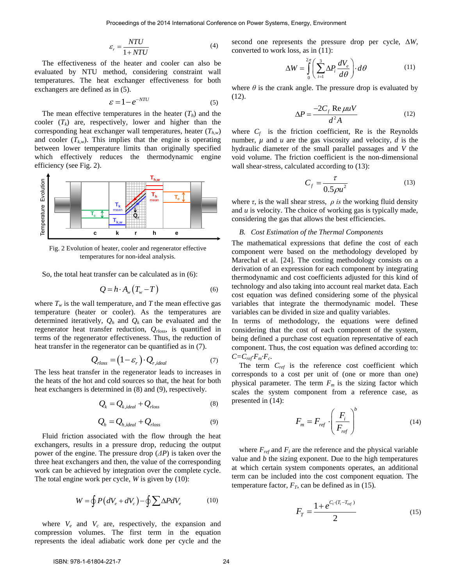$$
\varepsilon_r = \frac{NTU}{1 + NTU} \tag{4}
$$

The effectiveness of the heater and cooler can also be evaluated by NTU method, considering constraint wall temperatures. The heat exchanger effectiveness for both exchangers are defined as in (5).

$$
\varepsilon = 1 - e^{-NTU} \tag{5}
$$

The mean effective temperatures in the heater  $(T_h)$  and the cooler  $(T_k)$  are, respectively, lower and higher than the corresponding heat exchanger wall temperatures, heater (*Th,w*) and cooler  $(T_{kw})$ . This implies that the engine is operating between lower temperature limits than originally specified which effectively reduces the thermodynamic engine efficiency (see Fig. 2).



Fig. 2 Evolution of heater, cooler and regenerator effective temperatures for non-ideal analysis.

So, the total heat transfer can be calculated as in (6):

$$
Q = h \cdot A_{w} \left( T_{w} - T \right) \tag{6}
$$

where  $T_w$  is the wall temperature, and *T* the mean effective gas temperature (heater or cooler). As the temperatures are determined iteratively,  $Q_h$  and  $Q_k$  can be evaluated and the regenerator heat transfer reduction, *Qrloss*, is quantified in terms of the regenerator effectiveness. Thus, the reduction of heat transfer in the regenerator can be quantified as in (7).

$$
Q_{rloss} = (1 - \varepsilon_r) \cdot Q_{r, ideal}
$$
 (7)

The less heat transfer in the regenerator leads to increases in the heats of the hot and cold sources so that, the heat for both heat exchangers is determined in (8) and (9), respectively.

$$
Q_k = Q_{k, ideal} + Q_{rloss}
$$
 (8)

$$
Q_h = Q_{h, ideal} + Q_{rloss}
$$
 (9)

Fluid friction associated with the flow through the heat exchangers, results in a pressure drop, reducing the output power of the engine. The pressure drop (*ΔP*) is taken over the three heat exchangers and then, the value of the corresponding work can be achieved by integration over the complete cycle. The total engine work per cycle, *W* is given by (10):

$$
W = \oint P\left(dV_e + dV_c\right) - \oint \sum \Delta P dV_e \tag{10}
$$

where  $V_e$  and  $V_c$  are, respectively, the expansion and compression volumes. The first term in the equation represents the ideal adiabatic work done per cycle and the

second one represents the pressure drop per cycle, Δ*W,*  converted to work loss, as in (11):

$$
\Delta W = \int_{0}^{2\pi} \left( \sum_{i=1}^{3} \Delta P_i \frac{dV_e}{d\theta} \right) d\theta \tag{11}
$$

where  $\theta$  is the crank angle. The pressure drop is evaluated by (12).

$$
\Delta P = \frac{-2C_f \text{Re}\,\mu uV}{d^2 A} \tag{12}
$$

where  $C_f$  is the friction coefficient, Re is the Reynolds number,  $\mu$  and  $\mu$  are the gas viscosity and velocity,  $d$  is the hydraulic diameter of the small parallel passages and *V* the void volume. The friction coefficient is the non-dimensional wall shear-stress, calculated according to (13):

$$
C_f = \frac{\tau}{0.5\rho u^2} \tag{13}
$$

where  $\tau$ , is the wall shear stress,  $\rho$  is the working fluid density and *u* is velocity. The choice of working gas is typically made, considering the gas that allows the best efficiencies.

# *B. Cost Estimation of the Thermal Components*

The mathematical expressions that define the cost of each component were based on the methodology developed by Marechal et al. [24]. The costing methodology consists on a derivation of an expression for each component by integrating thermodynamic and cost coefficients adjusted for this kind of technology and also taking into account real market data. Each cost equation was defined considering some of the physical variables that integrate the thermodynamic model. These variables can be divided in size and quality variables.

In terms of methodology, the equations were defined considering that the cost of each component of the system, being defined a purchase cost equation representative of each component. Thus, the cost equation was defined according to:  $C=C_{ref}F_m \cdot F_c$ .

The term  $C_{ref}$  is the reference cost coefficient which corresponds to a cost per unit of (one or more than one) physical parameter. The term  $F_m$  is the sizing factor which scales the system component from a reference case, as presented in (14):

$$
F_m = F_{ref} \cdot \left(\frac{F_i}{F_{ref}}\right)^b \tag{14}
$$

where  $F_{ref}$  and  $F_i$  are the reference and the physical variable value and *b* the sizing exponent. Due to the high temperatures at which certain system components operates, an additional term can be included into the cost component equation. The temperature factor,  $F_T$ , can be defined as in (15).

$$
F_T = \frac{1 + e^{C_i \cdot (T_i - T_{ref})}}{2} \tag{15}
$$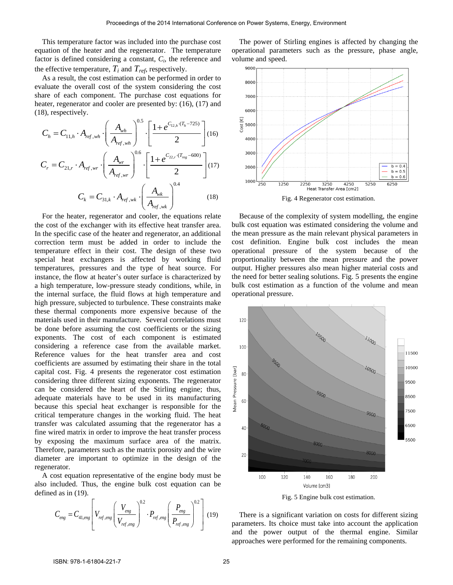This temperature factor was included into the purchase cost equation of the heater and the regenerator. The temperature factor is defined considering a constant, *C<sup>i</sup>* , the reference and the effective temperature,  $T_i$  and  $T_{ref}$ , respectively.

As a result, the cost estimation can be performed in order to evaluate the overall cost of the system considering the cost share of each component. The purchase cost equations for heater, regenerator and cooler are presented by: (16), (17) and (18), respectively.

8), respectively.  
\n
$$
C_{h} = C_{11,h} \cdot A_{ref,wh} \cdot \left(\frac{A_{wh}}{A_{ref,wh}}\right)^{0.5} \cdot \left[\frac{1 + e^{C_{12,h} \cdot (T_{h} - 725)}}{2}\right] (16)
$$
\n
$$
C_{r} = C_{21,r} \cdot A_{ref,wr} \cdot \left(\frac{A_{wr}}{A_{ref,wr}}\right)^{0.6} \cdot \left[\frac{1 + e^{C_{22,r} \cdot (T_{reg} - 600)}}{2}\right] (17)
$$
\n
$$
C_{k} = C_{31,k} \cdot A_{ref,wk} \cdot \left(\frac{A_{wk}}{A_{ref,wk}}\right)^{0.4} (18)
$$

For the heater, regenerator and cooler, the equations relate the cost of the exchanger with its effective heat transfer area. In the specific case of the heater and regenerator, an additional correction term must be added in order to include the temperature effect in their cost. The design of these two special heat exchangers is affected by working fluid temperatures, pressures and the type of heat source. For instance, the flow at heater's outer surface is characterized by a high temperature, low-pressure steady conditions, while, in the internal surface, the fluid flows at high temperature and high pressure, subjected to turbulence. These constraints make these thermal components more expensive because of the materials used in their manufacture. Several correlations must be done before assuming the cost coefficients or the sizing exponents. The cost of each component is estimated considering a reference case from the available market. Reference values for the heat transfer area and cost coefficients are assumed by estimating their share in the total capital cost. Fig. 4 presents the regenerator cost estimation considering three different sizing exponents. The regenerator can be considered the heart of the Stirling engine; thus, adequate materials have to be used in its manufacturing because this special heat exchanger is responsible for the critical temperature changes in the working fluid. The heat transfer was calculated assuming that the regenerator has a fine wired matrix in order to improve the heat transfer process by exposing the maximum surface area of the matrix. Therefore, parameters such as the matrix porosity and the wire diameter are important to optimize in the design of the regenerator.

A cost equation representative of the engine body must be also included. Thus, the engine bulk cost equation can be defined as in (19).

d as in (19).  
\n
$$
C_{eng} = C_{41,eng} \left[ V_{ref,eng} \left( \frac{V_{eng}}{V_{ref,eng}} \right)^{0.2} \cdot P_{ref,eng} \left( \frac{P_{eng}}{P_{ref,eng}} \right)^{0.2} \right]
$$
(19)

The power of Stirling engines is affected by changing the operational parameters such as the pressure, phase angle, volume and speed.



Fig. 4 Regenerator cost estimation.

Because of the complexity of system modelling, the engine bulk cost equation was estimated considering the volume and the mean pressure as the main relevant physical parameters in cost definition. Engine bulk cost includes the mean operational pressure of the system because of the proportionality between the mean pressure and the power output. Higher pressures also mean higher material costs and the need for better sealing solutions. Fig. 5 presents the engine bulk cost estimation as a function of the volume and mean operational pressure.



Fig. 5 Engine bulk cost estimation.

There is a significant variation on costs for different sizing parameters. Its choice must take into account the application and the power output of the thermal engine. Similar approaches were performed for the remaining components.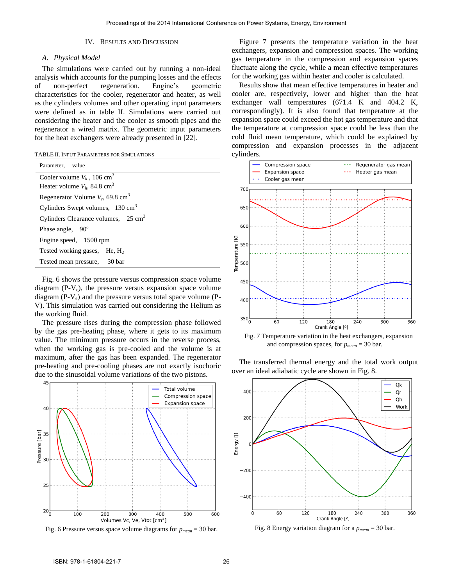### IV. RESULTS AND DISCUSSION

## *A. Physical Model*

The simulations were carried out by running a non-ideal analysis which accounts for the pumping losses and the effects of non-perfect regeneration. Engine's geometric characteristics for the cooler, regenerator and heater, as well as the cylinders volumes and other operating input parameters were defined as in table II. Simulations were carried out considering the heater and the cooler as smooth pipes and the regenerator a wired matrix. The geometric input parameters for the heat exchangers were already presented in [22].

|  | TABLE II. INPUT PARAMETERS FOR SIMULATIONS |  |  |
|--|--------------------------------------------|--|--|
|--|--------------------------------------------|--|--|

| Parameter, value                                |  |  |
|-------------------------------------------------|--|--|
| Cooler volume $V_k$ , 106 cm <sup>3</sup>       |  |  |
| Heater volume $V_h$ , 84.8 cm <sup>3</sup>      |  |  |
| Regenerator Volume $V_r$ , 69.8 cm <sup>3</sup> |  |  |
| Cylinders Swept volumes, $130 \text{ cm}^3$     |  |  |
| Cylinders Clearance volumes, $25 \text{ cm}^3$  |  |  |
| Phase angle, 90 <sup>°</sup>                    |  |  |
| Engine speed, 1500 rpm                          |  |  |
| Tested working gases, $He, H2$                  |  |  |
| Tested mean pressure, 30 bar                    |  |  |

Fig. 6 shows the pressure versus compression space volume diagram  $(P-V_c)$ , the pressure versus expansion space volume diagram  $(P-V_e)$  and the pressure versus total space volume  $(P-V_e)$ V). This simulation was carried out considering the Helium as the working fluid.

The pressure rises during the compression phase followed by the gas pre-heating phase, where it gets to its maximum value. The minimum pressure occurs in the reverse process, when the working gas is pre-cooled and the volume is at maximum, after the gas has been expanded. The regenerator pre-heating and pre-cooling phases are not exactly isochoric due to the sinusoidal volume variations of the two pistons.



Fig. 6 Pressure versus space volume diagrams for *pmean* = 30 bar.

Figure 7 presents the temperature variation in the heat exchangers, expansion and compression spaces. The working gas temperature in the compression and expansion spaces fluctuate along the cycle, while a mean effective temperatures for the working gas within heater and cooler is calculated.

Results show that mean effective temperatures in heater and cooler are, respectively, lower and higher than the heat exchanger wall temperatures (671.4 K and 404.2 K, correspondingly). It is also found that temperature at the expansion space could exceed the hot gas temperature and that the temperature at compression space could be less than the cold fluid mean temperature, which could be explained by compression and expansion processes in the adjacent cylinders.



Fig. 7 Temperature variation in the heat exchangers, expansion and compression spaces, for *pmean* = 30 bar.

The transferred thermal energy and the total work output over an ideal adiabatic cycle are shown in Fig. 8.



Fig. 8 Energy variation diagram for a *pmean* = 30 bar.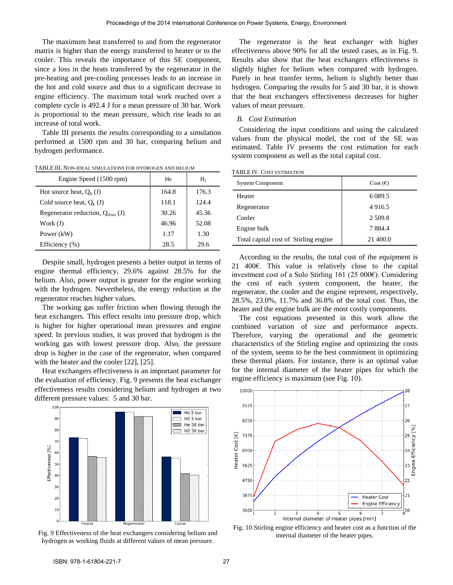The maximum heat transferred to and from the regenerator matrix is higher than the energy transferred to heater or to the cooler. This reveals the importance of this SE component, since a loss in the heats transferred by the regenerator in the pre-heating and pre-cooling processes leads to an increase in the hot and cold source and thus to a significant decrease in engine efficiency. The maximum total work reached over a complete cycle is 492.4 J for a mean pressure of 30 bar. Work is proportional to the mean pressure, which rise leads to an increase of total work.

Table III presents the results corresponding to a simulation performed at 1500 rpm and 30 bar, comparing helium and hydrogen performance.

| Engine Speed (1500 rpm)                | He    | H <sub>2</sub> |
|----------------------------------------|-------|----------------|
| Hot source heat, $O_h$ (J)             | 164.8 | 176.3          |
| Cold source heat, $O_k$ (J)            | 118.1 | 124.4          |
| Regenerator reduction, $Q_{rloss}$ (J) | 30.26 | 45.36          |
| Work $(J)$                             | 46.96 | 52.08          |
| Power (kW)                             | 1.17  | 1.30           |
| Efficiency (%)                         | 28.5  | 29.6           |

TABLE III. NON-IDEAL SIMULATIONS FOR HYDROGEN AND HELIUM

Despite small, hydrogen presents a better output in terms of engine thermal efficiency, 29.6% against 28.5% for the helium. Also, power output is greater for the engine working with the hydrogen. Nevertheless, the energy reduction at the regenerator reaches higher values.

The working gas suffer friction when flowing through the heat exchangers. This effect results into pressure drop, which is higher for higher operational mean pressures and engine speed. In previous studies, it was proved that hydrogen is the working gas with lowest pressure drop. Also, the pressure drop is higher in the case of the regenerator, when compared with the heater and the cooler [22], [25].

Heat exchangers effectiveness is an important parameter for the evaluation of efficiency. Fig. 9 presents the heat exchanger effectiveness results considering helium and hydrogen at two different pressure values: 5 and 30 bar.



Fig. 9 Effectiveness of the heat exchangers considering helium and hydrogen as working fluids at different values of mean pressure.

The regenerator is the heat exchanger with higher effectiveness above 90% for all the tested cases, as in Fig. 9. Results also show that the heat exchangers effectiveness is slightly higher for helium when compared with hydrogen. Purely in heat transfer terms, helium is slightly better than hydrogen. Comparing the results for 5 and 30 bar, it is shown that the heat exchangers effectiveness decreases for higher values of mean pressure.

#### *B. Cost Estimation*

Considering the input conditions and using the calculated values from the physical model, the cost of the SE was estimated. Table IV presents the cost estimation for each system component as well as the total capital cost.

|  | <b>TABLE IV. COST ESTIMATION</b> |
|--|----------------------------------|
|--|----------------------------------|

| <b>System Component</b>               | Cost $(\epsilon)$ |
|---------------------------------------|-------------------|
| Heater                                | 6 0 8 9.5         |
| Regenerator                           | 4 9 1 6.5         |
| Cooler                                | 2 5 0 9.8         |
| Engine bulk                           | 7884.4            |
| Total capital cost of Stirling engine | 21 400.0          |

According to the results, the total cost of the equipment is 21 400€. This value is relatively close to the capital investment cost of a Solo Stirling 161 (25 000€). Considering the cost of each system component, the heater, the regenerator, the cooler and the engine represent, respectively, 28.5%, 23.0%, 11.7% and 36.8% of the total cost. Thus, the heater and the engine bulk are the most costly components.

The cost equations presented in this work allow the combined variation of size and performance aspects. Therefore, varying the operational and the geometric characteristics of the Stirling engine and optimizing the costs of the system, seems to be the best commitment in optimizing these thermal plants. For instance, there is an optimal value for the internal diameter of the heater pipes for which the engine efficiency is maximum (see Fig. 10).



Fig. 10 Stirling engine efficiency and heater cost as a function of the internal diameter of the heater pipes.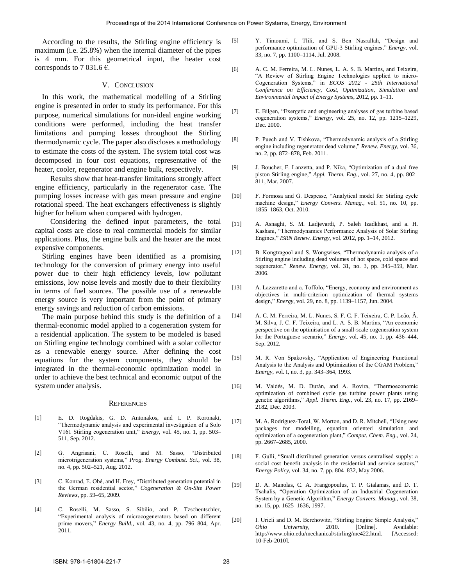According to the results, the Stirling engine efficiency is maximum (i.e. 25.8%) when the internal diameter of the pipes is 4 mm. For this geometrical input, the heater cost corresponds to 7 031.6  $\epsilon$ .

# V. CONCLUSION

In this work, the mathematical modelling of a Stirling engine is presented in order to study its performance. For this purpose, numerical simulations for non-ideal engine working conditions were performed, including the heat transfer limitations and pumping losses throughout the Stirling thermodynamic cycle. The paper also discloses a methodology to estimate the costs of the system. The system total cost was decomposed in four cost equations, representative of the heater, cooler, regenerator and engine bulk, respectively.

Results show that heat-transfer limitations strongly affect engine efficiency, particularly in the regenerator case. The pumping losses increase with gas mean pressure and engine rotational speed. The heat exchangers effectiveness is slightly higher for helium when compared with hydrogen.

Considering the defined input parameters, the total capital costs are close to real commercial models for similar applications. Plus, the engine bulk and the heater are the most expensive components.

Stirling engines have been identified as a promising technology for the conversion of primary energy into useful power due to their high efficiency levels, low pollutant emissions, low noise levels and mostly due to their flexibility in terms of fuel sources. The possible use of a renewable energy source is very important from the point of primary energy savings and reduction of carbon emissions.

The main purpose behind this study is the definition of a thermal-economic model applied to a cogeneration system for a residential application. The system to be modeled is based on Stirling engine technology combined with a solar collector as a renewable energy source. After defining the cost equations for the system components, they should be integrated in the thermal-economic optimization model in order to achieve the best technical and economic output of the system under analysis.

#### **REFERENCES**

- [1] E. D. Rogdakis, G. D. Antonakos, and I. P. Koronaki, "Thermodynamic analysis and experimental investigation of a Solo V161 Stirling cogeneration unit," *Energy*, vol. 45, no. 1, pp. 503– 511, Sep. 2012.
- [2] G. Angrisani, C. Roselli, and M. Sasso, "Distributed microtrigeneration systems," *Prog. Energy Combust. Sci.*, vol. 38, no. 4, pp. 502–521, Aug. 2012.
- [3] C. Konrad, E. Obé, and H. Frey, "Distributed generation potential in the German residential sector," *Cogeneration & On-Site Power Reviews*, pp. 59–65, 2009.
- [4] C. Roselli, M. Sasso, S. Sibilio, and P. Tzscheutschler, "Experimental analysis of microcogenerators based on different prime movers," *Energy Build.*, vol. 43, no. 4, pp. 796–804, Apr. 2011.
- [5] Y. Timoumi, I. Tlili, and S. Ben Nasrallah, "Design and performance optimization of GPU-3 Stirling engines," *Energy*, vol. 33, no. 7, pp. 1100–1114, Jul. 2008.
- [6] A. C. M. Ferreira, M. L. Nunes, L. A. S. B. Martins, and Teixeira, "A Review of Stirling Engine Technologies applied to micro-Cogeneration Systems," in *ECOS 2012 - 25th International Conference on Efficiency, Cost, Optimization, Simulation and Environmental Impact of Energy Systems*, 2012, pp. 1–11.
- [7] E. Bilgen, "Exergetic and engineering analyses of gas turbine based cogeneration systems," *Energy*, vol. 25, no. 12, pp. 1215–1229, Dec. 2000.
- [8] P. Puech and V. Tishkova, "Thermodynamic analysis of a Stirling engine including regenerator dead volume," *Renew. Energy*, vol. 36, no. 2, pp. 872–878, Feb. 2011.
- [9] J. Boucher, F. Lanzetta, and P. Nika, "Optimization of a dual free piston Stirling engine," *Appl. Therm. Eng.*, vol. 27, no. 4, pp. 802– 811, Mar. 2007.
- [10] F. Formosa and G. Despesse, "Analytical model for Stirling cycle machine design," *Energy Convers. Manag.*, vol. 51, no. 10, pp. 1855–1863, Oct. 2010.
- [11] A. Asnaghi, S. M. Ladjevardi, P. Saleh Izadkhast, and a. H. Kashani, "Thermodynamics Performance Analysis of Solar Stirling Engines," *ISRN Renew. Energy*, vol. 2012, pp. 1–14, 2012.
- [12] B. Kongtragool and S. Wongwises, "Thermodynamic analysis of a Stirling engine including dead volumes of hot space, cold space and regenerator," *Renew. Energy*, vol. 31, no. 3, pp. 345–359, Mar. 2006.
- [13] A. Lazzaretto and a. Toffolo, "Energy, economy and environment as objectives in multi-criterion optimization of thermal systems design," *Energy*, vol. 29, no. 8, pp. 1139–1157, Jun. 2004.
- [14] A. C. M. Ferreira, M. L. Nunes, S. F. C. F. Teixeira, C. P. Leão, Â. M. Silva, J. C. F. Teixeira, and L. A. S. B. Martins, "An economic perspective on the optimisation of a small-scale cogeneration system for the Portuguese scenario," *Energy*, vol. 45, no. 1, pp. 436–444, Sep. 2012.
- [15] M. R. Von Spakovsky, "Application of Engineering Functional Analysis to the Analysis and Optimization of the CGAM Problem," *Energy*, vol. I, no. 3, pp. 343–364, 1993.
- [16] M. Valdés, M. D. Durán, and A. Rovira, "Thermoeconomic optimization of combined cycle gas turbine power plants using genetic algorithms," *Appl. Therm. Eng.*, vol. 23, no. 17, pp. 2169– 2182, Dec. 2003.
- [17] M. A. Rodríguez-Toral, W. Morton, and D. R. Mitchell, "Using new packages for modelling, equation oriented simulation and optimization of a cogeneration plant," *Comput. Chem. Eng.*, vol. 24, pp. 2667–2685, 2000.
- [18] F. Gullì, "Small distributed generation versus centralised supply: a social cost–benefit analysis in the residential and service sectors," *Energy Policy*, vol. 34, no. 7, pp. 804–832, May 2006.
- [19] D. A. Manolas, C. A. Frangopoulus, T. P. Gialamas, and D. T. Tsahalis, "Operation Optimization of an Industrial Cogeneration System by a Genetic Algorithm," *Energy Convers. Manag.*, vol. 38, no. 15, pp. 1625–1636, 1997.
- [20] I. Urieli and D. M. Berchowitz, "Stirling Engine Simple Analysis,"<br> *Ohio* University, 2010. [Online]. Available: *Ohio University*, 2010. [Online]. Available: http://www.ohio.edu/mechanical/stirling/me422.html. [Accessed: 10-Feb-2010].